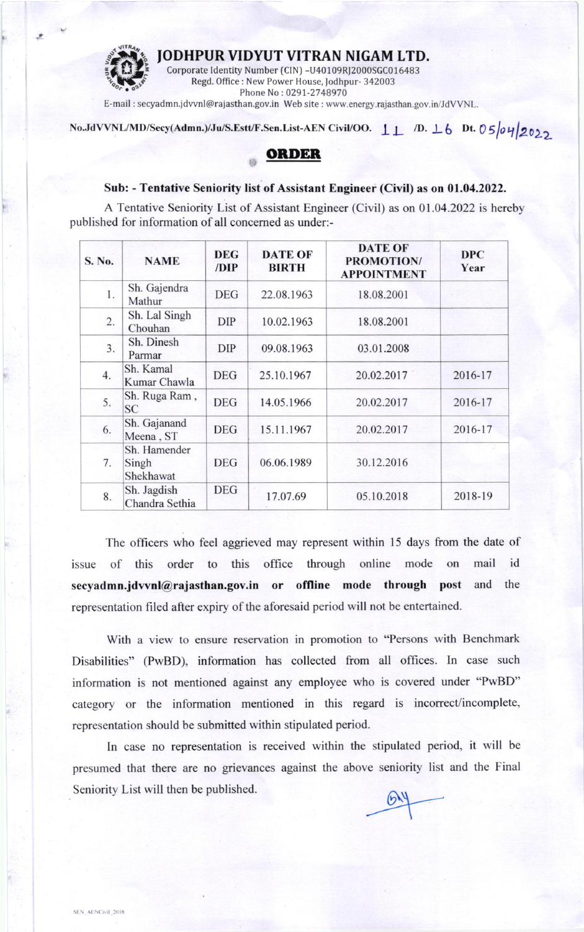JODHPUR VIDYUT VITRAN NIGAM LTD.



Corporate Identity Number (CIN) -U40109RJ2000SGC016483<br>Regd. Office : New Power House, Jodhpur- 342003 Phone No: 0291-2748970

E-mail : secyadmn.jdvvnl@rajasthan.gov.in Web site : www.energy.rajasthan.gov.in/JdVVNL.

## No.JdVVNL/MD/Secy(Admn.)/Ju/S.Estt/F.Sen.List-AEN Civil/OO.  $\perp \perp$  /D.  $\perp$  6 Dt. 05/04/2022

## **ORDER**

## Sub: - Tentative Seniority list of Assistant Engineer (Civil) as on 01.04.2022.

A Tentative Seniority List of Assistant Engineer (Civil) as on 01.04.2022 is hereby published for information of all concemed as under:-

| S. No. | <b>NAME</b>                        | <b>DEG</b><br>/DIP | <b>DATE OF</b><br><b>BIRTH</b> | <b>DATE OF</b><br><b>PROMOTION/</b><br><b>APPOINTMENT</b> | <b>DPC</b><br>Year |
|--------|------------------------------------|--------------------|--------------------------------|-----------------------------------------------------------|--------------------|
| 1.     | Sh. Gajendra<br>Mathur             | <b>DEG</b>         | 22.08.1963                     | 18.08.2001                                                |                    |
| 2.     | Sh. Lal Singh<br>Chouhan           | <b>DIP</b>         | 10.02.1963                     | 18.08.2001                                                |                    |
| 3.     | Sh. Dinesh<br>Parmar               | <b>DIP</b>         | 09.08.1963                     | 03.01.2008                                                |                    |
| 4.     | Sh. Kamal<br>Kumar Chawla          | <b>DEG</b>         | 25.10.1967                     | 20.02.2017                                                | 2016-17            |
| 5.     | Sh. Ruga Ram,<br><b>SC</b>         | <b>DEG</b>         | 14.05.1966                     | 20.02.2017                                                | 2016-17            |
| 6.     | Sh. Gajanand<br>Meena, ST          | <b>DEG</b>         | 15.11.1967                     | 20.02.2017                                                | 2016-17            |
| 7.     | Sh. Hamender<br>Singh<br>Shekhawat | <b>DEG</b>         | 06.06.1989                     | 30.12.2016                                                |                    |
| 8.     | Sh. Jagdish<br>Chandra Sethia      | <b>DEG</b>         | 17.07.69                       | 05.10.2018                                                | 2018-19            |

The officers who feel aggrieved may represent within 15 days from the date of issue of this order to this office through online mode on mail id secyadmn.jdvvnl@rajasthan.gov.in or offline mode through post and the representation filed after expiry of the aforesaid period will not be entertained.

With a view to ensure reservation in promotion to "Persons with Benchmark Disabilities" (PwBD), information has collected from all offices. In case such information is not mentioned against any employee who is covered under "PwBD" category or the information mentioned in this regard is incorrect/incomplete, representation should be submitted within stipulated period.

In case no representation is received within the stipulated period, it will be presumed that there are no grievances against the above seniority list and the Final Seniority List will then be published.